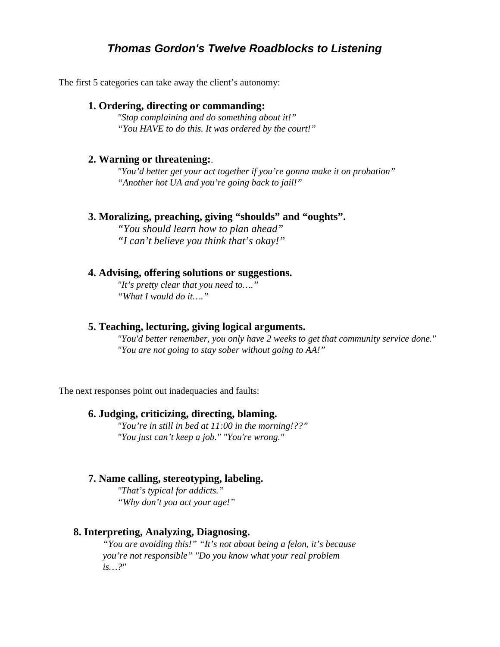# *Thomas Gordon's Twelve Roadblocks to Listening*

The first 5 categories can take away the client's autonomy:

### **1. Ordering, directing or commanding:**

*"Stop complaining and do something about it!" "You HAVE to do this. It was ordered by the court!"* 

#### **2. Warning or threatening:**.

*"You'd better get your act together if you're gonna make it on probation" "Another hot UA and you're going back to jail!"* 

#### **3. Moralizing, preaching, giving "shoulds" and "oughts".**

*"You should learn how to plan ahead" "I can't believe you think that's okay!"* 

#### **4. Advising, offering solutions or suggestions.**

*"It's pretty clear that you need to…." "What I would do it…."* 

### **5. Teaching, lecturing, giving logical arguments.**

*"You'd better remember, you only have 2 weeks to get that community service done." "You are not going to stay sober without going to AA!"* 

The next responses point out inadequacies and faults:

#### **6. Judging, criticizing, directing, blaming.**

*"You're in still in bed at 11:00 in the morning!??" "You just can't keep a job." "You're wrong."* 

### **7. Name calling, stereotyping, labeling.**

*"That's typical for addicts." "Why don't you act your age!"* 

### **8. Interpreting, Analyzing, Diagnosing.**

*"You are avoiding this!" "It's not about being a felon, it's because you're not responsible" "Do you know what your real problem is…?"*